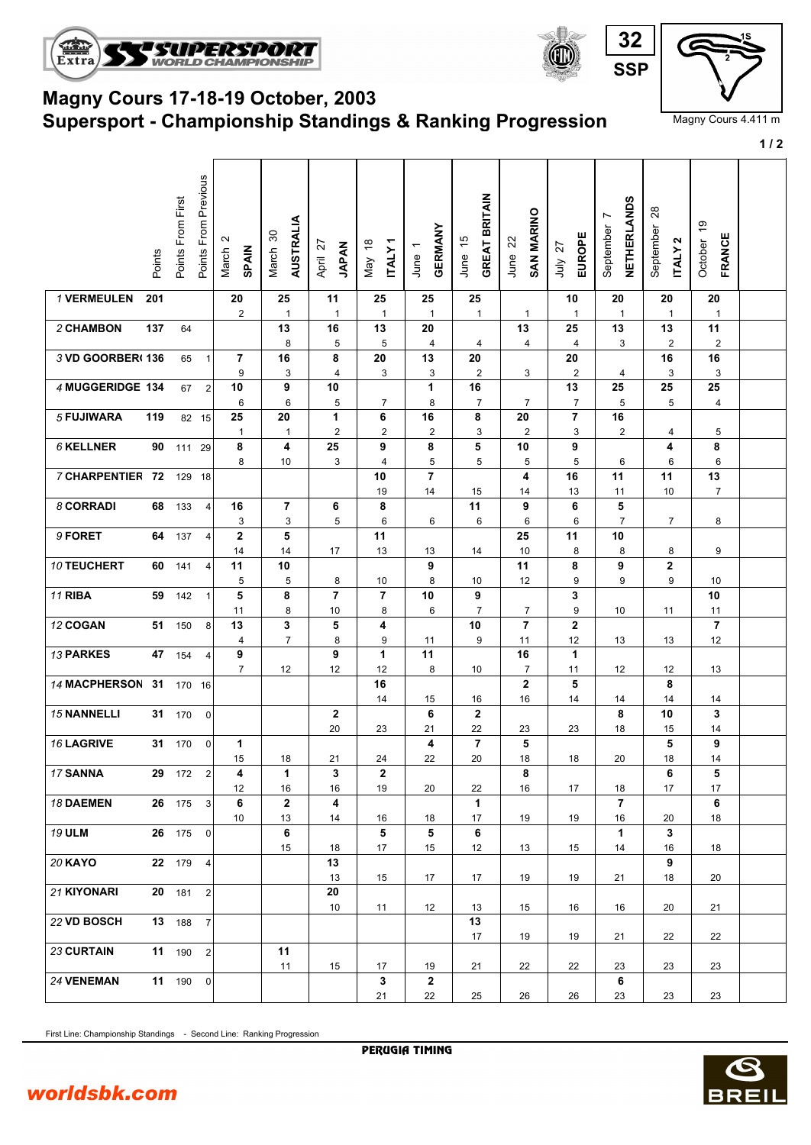



| 32  | 1S |  |
|-----|----|--|
| SSP |    |  |
|     |    |  |

**SSP**

Magny Cours 4.411 m

|                    |        |                   |                         |                                              |                        |                               |                         |                         |                                               |                                |                               |                                 |                                |                               | $1/2$ |
|--------------------|--------|-------------------|-------------------------|----------------------------------------------|------------------------|-------------------------------|-------------------------|-------------------------|-----------------------------------------------|--------------------------------|-------------------------------|---------------------------------|--------------------------------|-------------------------------|-------|
|                    | Points | Points From First | Points From Previous    | $\boldsymbol{\sim}$<br><b>SPAIN</b><br>March | AUSTRALIA<br>March 30  | April 27<br>JAPAN             | <b>ITALY1</b><br>May 18 | <b>GERMANY</b><br>June  | <b>GREAT BRITAIN</b><br>$\frac{1}{2}$<br>June | <b>SAN MARINO</b><br>June 22   | EUROPE<br>July 27             | <b>NETHERLANDS</b><br>September | September 28<br><b>ITALY 2</b> | October 19<br><b>FRANCE</b>   |       |
| 1 VERMEULEN        | 201    |                   |                         | 20<br>$\overline{c}$                         | 25<br>$\mathbf{1}$     | 11<br>$\mathbf{1}$            | 25<br>$\mathbf{1}$      | 25<br>$\mathbf{1}$      | 25<br>$\mathbf{1}$                            | $\mathbf{1}$                   | 10<br>$\overline{1}$          | 20<br>$\mathbf{1}$              | 20<br>$\mathbf{1}$             | 20<br>$\mathbf{1}$            |       |
| 2 CHAMBON          | 137    | 64                |                         |                                              | 13<br>8                | 16<br>$\,$ 5 $\,$             | 13<br>5                 | 20<br>$\overline{4}$    | 4                                             | 13<br>4                        | 25<br>$\overline{\mathbf{4}}$ | 13<br>3                         | 13<br>$\overline{\mathbf{c}}$  | 11<br>$\overline{\mathbf{c}}$ |       |
| 3 VD GOORBER(136   |        | 65                | $\overline{\mathbf{1}}$ | $\overline{7}$                               | 16                     | $\bf 8$                       | ${\bf 20}$              | 13                      | 20                                            |                                | 20                            |                                 | 16                             | 16                            |       |
| 4 MUGGERIDGE 134   |        | 67                | $\overline{2}$          | 9<br>10                                      | 3<br>9                 | $\overline{\mathbf{4}}$<br>10 | 3                       | 3<br>1                  | $\overline{2}$<br>16                          | 3                              | $\mathbf 2$<br>13             | 4<br>25                         | 3<br>25                        | 3<br>25                       |       |
| 5 FUJIWARA         | 119    | 82 15             |                         | 6<br>25                                      | 6<br>20                | 5<br>1                        | $\overline{7}$<br>6     | 8<br>16                 | $\overline{7}$<br>8                           | $\overline{7}$<br>20           | $\overline{7}$<br>7           | 5<br>16                         | 5                              | 4                             |       |
|                    |        |                   |                         | $\overline{1}$                               | $\mathbf{1}$           | $\overline{c}$                | $\overline{\mathbf{c}}$ | 2                       | 3                                             | $\overline{2}$                 | 3                             | 2                               | 4                              | 5                             |       |
| 6 KELLNER          | 90     | 111 29            |                         | 8<br>8                                       | 4<br>10                | 25<br>3                       | 9<br>4                  | 8<br>5                  | 5<br>5                                        | 10<br>5                        | 9<br>5                        | 6                               | 4<br>6                         | 8<br>6                        |       |
| 7 CHARPENTIER 72   |        | 129 18            |                         |                                              |                        |                               | 10                      | $\overline{\mathbf{r}}$ |                                               | 4                              | 16                            | 11                              | 11                             | 13                            |       |
| 8 CORRADI          |        | 68 133            | $\overline{4}$          | 16                                           | 7                      | 6                             | 19<br>8                 | 14                      | 15<br>11                                      | 14<br>9                        | 13<br>6                       | 11<br>5                         | 10                             | $\overline{7}$                |       |
|                    |        |                   |                         | 3                                            | 3                      | 5                             | 6                       | 6                       | 6                                             | 6                              | 6                             | $\overline{7}$                  | $\overline{7}$                 | 8                             |       |
| 9 FORET            | 64     | 137               | 4                       | $\mathbf 2$<br>14                            | 5<br>14                | 17                            | 11<br>13                | 13                      | 14                                            | 25<br>10                       | 11<br>8                       | $10\,$<br>8                     | 8                              | 9                             |       |
| 10 TEUCHERT        | 60     | 141               | 4                       | 11                                           | 10                     |                               |                         | 9                       |                                               | 11                             | 8                             | 9                               | $\mathbf{2}$                   |                               |       |
| 11 RIBA            | 59     | 142               | $\overline{\mathbf{1}}$ | 5<br>5                                       | 5<br>8                 | 8<br>$\overline{7}$           | 10<br>$\overline{7}$    | 8<br>10                 | 10<br>9                                       | 12                             | 9<br>3                        | 9                               | 9                              | 10<br>10                      |       |
|                    |        |                   |                         | 11                                           | 8                      | $10$                          | 8                       | 6                       | $\overline{7}$                                | $\overline{7}$                 | 9                             | 10                              | 11                             | $11$                          |       |
| 12 COGAN           | 51     | 150               | 8 <sup>1</sup>          | 13<br>$\overline{\mathbf{4}}$                | 3<br>$\overline{7}$    | 5<br>8                        | 4<br>9                  | 11                      | 10<br>9                                       | $\overline{7}$<br>11           | $\mathbf 2$<br>12             | 13                              | 13                             | $\overline{7}$<br>12          |       |
| 13 PARKES          |        | 47 154            | 4                       | 9                                            |                        | 9                             | 1                       | 11                      |                                               | 16                             | 1                             |                                 |                                |                               |       |
| 14 MACPHERSON 31   |        | 170 16            |                         | $\overline{7}$                               | 12                     | 12                            | 12<br>16                | 8                       | 10                                            | $\overline{7}$<br>$\mathbf{2}$ | 11<br>5                       | 12                              | 12<br>8                        | 13                            |       |
|                    |        |                   |                         |                                              |                        |                               | 14                      | 15                      | 16                                            | 16                             | 14                            | 14                              | 14                             | 14                            |       |
| <b>15 NANNELLI</b> |        | 31 170            | $\overline{0}$          |                                              |                        | $\mathbf{2}$<br>20            | 23                      | 6<br>21                 | $\mathbf{2}$<br>22                            | 23                             | 23                            | 8<br>18                         | 10<br>15                       | 3<br>14                       |       |
| 16 LAGRIVE         |        | 31 170            | $\overline{0}$          | 1                                            |                        |                               |                         | 4                       | $\overline{\mathbf{7}}$                       | 5                              |                               |                                 | 5                              | 9                             |       |
| 17 SANNA           |        | 29 172            | $\overline{2}$          | 15<br>4                                      | $18\,$<br>$\mathbf{1}$ | 21<br>3                       | 24<br>$\overline{2}$    | 22                      | 20                                            | 18<br>8                        | 18                            | 20                              | 18<br>6                        | 14<br>5                       |       |
|                    |        |                   |                         | 12                                           | $16\,$                 | 16                            | 19                      | 20                      | 22                                            | 16                             | 17                            | 18                              | 17                             | 17                            |       |
| 18 DAEMEN          |        | 26 175 3          |                         | 6<br>10                                      | $\mathbf{2}$<br>13     | $\overline{\mathbf{4}}$<br>14 | 16                      | 18                      | $\mathbf{1}$<br>17                            | 19                             | 19                            | $\overline{7}$<br>16            | 20                             | 6<br>18                       |       |
| <b>19 ULM</b>      |        | 26 175 0          |                         |                                              | 6                      |                               | 5                       | 5                       | 6                                             |                                |                               | 1                               | 3                              |                               |       |
| 20 KAYO            |        | 22 179            | $\vert$ 4               |                                              | 15                     | 18<br>13                      | 17                      | 15                      | 12                                            | 13                             | 15                            | 14                              | 16<br>9                        | 18                            |       |
|                    |        |                   |                         |                                              |                        | $13$                          | 15                      | 17                      | 17                                            | 19                             | 19                            | 21                              | 18                             | 20                            |       |
| 21 KIYONARI        |        | 20 181            | $\vert$ 2               |                                              |                        | 20<br>10                      | 11                      | 12                      | 13                                            | 15                             | 16                            | 16                              | 20                             | 21                            |       |
| 22 VD BOSCH        |        | 13 188            | $\overline{7}$          |                                              |                        |                               |                         |                         | 13<br>17                                      | 19                             | 19                            | 21                              | 22                             | 22                            |       |
| 23 CURTAIN         |        | 11 $190$ 2        |                         |                                              | 11                     |                               |                         |                         |                                               |                                |                               |                                 |                                |                               |       |
| <b>24 VENEMAN</b>  |        | 11 190            | 0                       |                                              | 11                     | 15                            | 17<br>$\mathbf{3}$      | 19<br>$\mathbf{2}$      | 21                                            | 22                             | 22                            | 23<br>6                         | 23                             | 23                            |       |
|                    |        |                   |                         |                                              |                        |                               | 21                      | 22                      | 25                                            | 26                             | 26                            | 23                              | 23                             | 23                            |       |

First Line: Championship Standings - Second Line: Ranking Progression